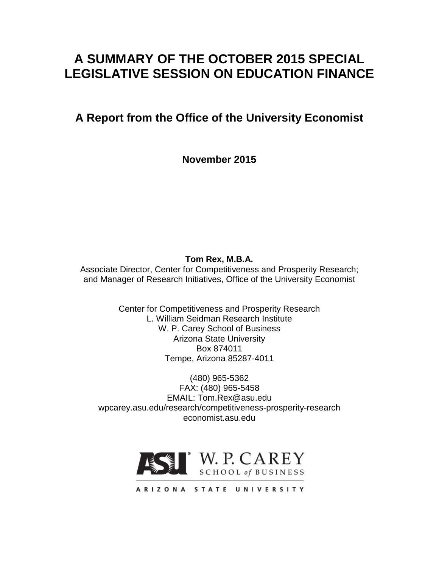# **A SUMMARY OF THE OCTOBER 2015 SPECIAL LEGISLATIVE SESSION ON EDUCATION FINANCE**

## **A Report from the Office of the University Economist**

**November 2015**

**Tom Rex, M.B.A.**

Associate Director, Center for Competitiveness and Prosperity Research; and Manager of Research Initiatives, Office of the University Economist

> Center for Competitiveness and Prosperity Research L. William Seidman Research Institute W. P. Carey School of Business Arizona State University Box 874011 Tempe, Arizona 85287-4011

(480) 965-5362 FAX: (480) 965-5458 EMAIL: Tom.Rex@asu.edu wpcarey.asu.edu/research/competitiveness-prosperity-research economist.asu.edu



ARIZONA STATE UNIVERSITY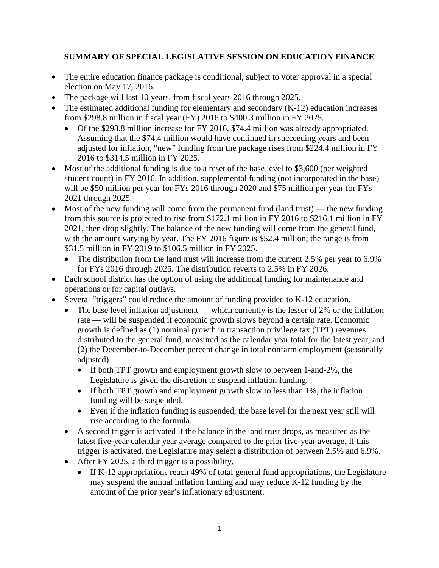### **SUMMARY OF SPECIAL LEGISLATIVE SESSION ON EDUCATION FINANCE**

- The entire education finance package is conditional, subject to voter approval in a special election on May 17, 2016.
- The package will last 10 years, from fiscal years 2016 through 2025.
- The estimated additional funding for elementary and secondary (K-12) education increases from \$298.8 million in fiscal year (FY) 2016 to \$400.3 million in FY 2025.
	- Of the \$298.8 million increase for FY 2016, \$74.4 million was already appropriated. Assuming that the \$74.4 million would have continued in succeeding years and been adjusted for inflation, "new" funding from the package rises from \$224.4 million in FY 2016 to \$314.5 million in FY 2025.
- Most of the additional funding is due to a reset of the base level to \$3,600 (per weighted student count) in FY 2016. In addition, supplemental funding (not incorporated in the base) will be \$50 million per year for FYs 2016 through 2020 and \$75 million per year for FYs 2021 through 2025.
- Most of the new funding will come from the permanent fund (land trust) the new funding from this source is projected to rise from \$172.1 million in FY 2016 to \$216.1 million in FY 2021, then drop slightly. The balance of the new funding will come from the general fund, with the amount varying by year. The FY 2016 figure is \$52.4 million; the range is from \$31.5 million in FY 2019 to \$106.5 million in FY 2025.
	- The distribution from the land trust will increase from the current 2.5% per year to 6.9% for FYs 2016 through 2025. The distribution reverts to 2.5% in FY 2026.
- Each school district has the option of using the additional funding for maintenance and operations or for capital outlays.
- Several "triggers" could reduce the amount of funding provided to K-12 education.
	- The base level inflation adjustment which currently is the lesser of 2% or the inflation rate — will be suspended if economic growth slows beyond a certain rate. Economic growth is defined as (1) nominal growth in transaction privilege tax (TPT) revenues distributed to the general fund, measured as the calendar year total for the latest year, and (2) the December-to-December percent change in total nonfarm employment (seasonally adjusted).
		- If both TPT growth and employment growth slow to between 1-and-2%, the Legislature is given the discretion to suspend inflation funding.
		- If both TPT growth and employment growth slow to less than 1%, the inflation funding will be suspended.
		- Even if the inflation funding is suspended, the base level for the next year still will rise according to the formula.
	- A second trigger is activated if the balance in the land trust drops, as measured as the latest five-year calendar year average compared to the prior five-year average. If this trigger is activated, the Legislature may select a distribution of between 2.5% and 6.9%.
	- After FY 2025, a third trigger is a possibility.
		- If K-12 appropriations reach 49% of total general fund appropriations, the Legislature may suspend the annual inflation funding and may reduce K-12 funding by the amount of the prior year's inflationary adjustment.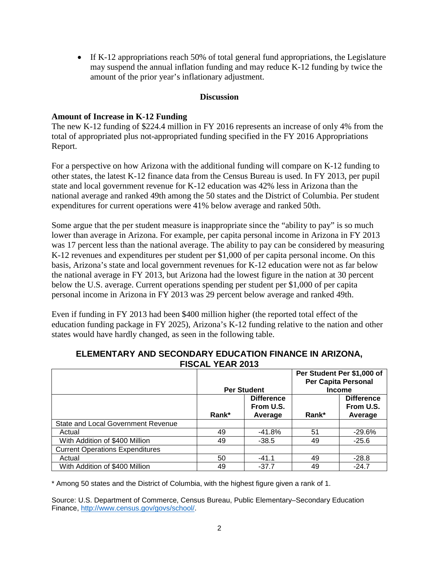• If K-12 appropriations reach 50% of total general fund appropriations, the Legislature may suspend the annual inflation funding and may reduce K-12 funding by twice the amount of the prior year's inflationary adjustment.

#### **Discussion**

#### **Amount of Increase in K-12 Funding**

The new K-12 funding of \$224.4 million in FY 2016 represents an increase of only 4% from the total of appropriated plus not-appropriated funding specified in the FY 2016 Appropriations Report.

For a perspective on how Arizona with the additional funding will compare on K-12 funding to other states, the latest K-12 finance data from the Census Bureau is used. In FY 2013, per pupil state and local government revenue for K-12 education was 42% less in Arizona than the national average and ranked 49th among the 50 states and the District of Columbia. Per student expenditures for current operations were 41% below average and ranked 50th.

Some argue that the per student measure is inappropriate since the "ability to pay" is so much lower than average in Arizona. For example, per capita personal income in Arizona in FY 2013 was 17 percent less than the national average. The ability to pay can be considered by measuring K-12 revenues and expenditures per student per \$1,000 of per capita personal income. On this basis, Arizona's state and local government revenues for K-12 education were not as far below the national average in FY 2013, but Arizona had the lowest figure in the nation at 30 percent below the U.S. average. Current operations spending per student per \$1,000 of per capita personal income in Arizona in FY 2013 was 29 percent below average and ranked 49th.

Even if funding in FY 2013 had been \$400 million higher (the reported total effect of the education funding package in FY 2025), Arizona's K-12 funding relative to the nation and other states would have hardly changed, as seen in the following table.

| 1 100AL TLAN ZVIJ                      |                    |                                           |                                                                    |                                           |
|----------------------------------------|--------------------|-------------------------------------------|--------------------------------------------------------------------|-------------------------------------------|
|                                        | <b>Per Student</b> |                                           | Per Student Per \$1,000 of<br>Per Capita Personal<br><b>Income</b> |                                           |
|                                        | Rank*              | <b>Difference</b><br>From U.S.<br>Average | Rank*                                                              | <b>Difference</b><br>From U.S.<br>Average |
| State and Local Government Revenue     |                    |                                           |                                                                    |                                           |
| Actual                                 | 49                 | -41.8%                                    | 51                                                                 | $-29.6%$                                  |
| With Addition of \$400 Million         | 49                 | $-38.5$                                   | 49                                                                 | $-25.6$                                   |
| <b>Current Operations Expenditures</b> |                    |                                           |                                                                    |                                           |
| Actual                                 | 50                 | $-41.1$                                   | 49                                                                 | $-28.8$                                   |
| With Addition of \$400 Million         | 49                 | $-37.7$                                   | 49                                                                 | $-24.7$                                   |

#### **ELEMENTARY AND SECONDARY EDUCATION FINANCE IN ARIZONA, FISCAL YEAR 2013**

\* Among 50 states and the District of Columbia, with the highest figure given a rank of 1.

Source: U.S. Department of Commerce, Census Bureau, Public Elementary–Secondary Education Finance, [http://www.census.gov/govs/school/.](http://www.census.gov/govs/school/)